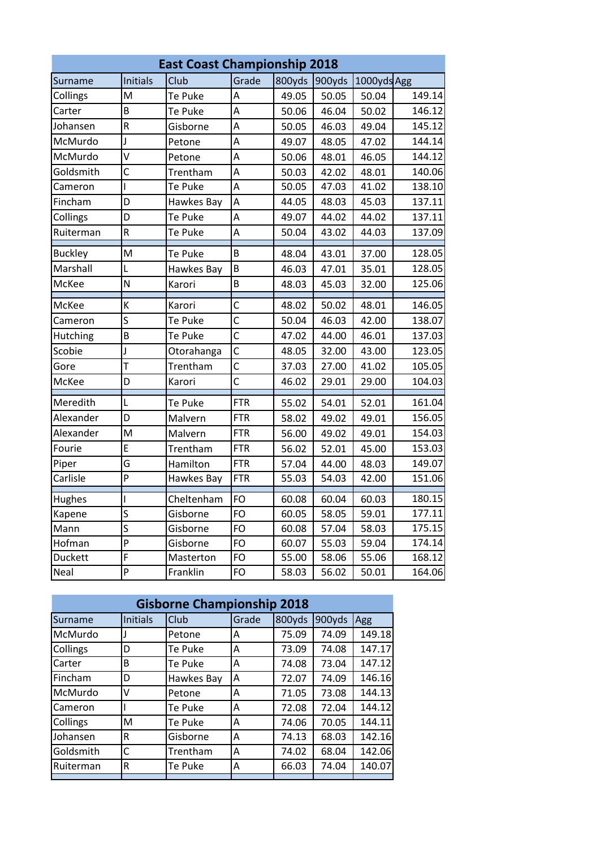| <b>East Coast Championship 2018</b> |                         |            |                         |        |        |             |        |
|-------------------------------------|-------------------------|------------|-------------------------|--------|--------|-------------|--------|
| Surname                             | <b>Initials</b>         | Club       | Grade                   | 800yds | 900yds | 1000yds Agg |        |
| Collings                            | M                       | Te Puke    | А                       | 49.05  | 50.05  | 50.04       | 149.14 |
| Carter                              | B                       | Te Puke    | A                       | 50.06  | 46.04  | 50.02       | 146.12 |
| Johansen                            | $\mathsf R$             | Gisborne   | A                       | 50.05  | 46.03  | 49.04       | 145.12 |
| McMurdo                             | J                       | Petone     | A                       | 49.07  | 48.05  | 47.02       | 144.14 |
| McMurdo                             | V                       | Petone     | A                       | 50.06  | 48.01  | 46.05       | 144.12 |
| Goldsmith                           | C                       | Trentham   | A                       | 50.03  | 42.02  | 48.01       | 140.06 |
| Cameron                             | I                       | Te Puke    | A                       | 50.05  | 47.03  | 41.02       | 138.10 |
| Fincham                             | D                       | Hawkes Bay | A                       | 44.05  | 48.03  | 45.03       | 137.11 |
| Collings                            | D                       | Te Puke    | A                       | 49.07  | 44.02  | 44.02       | 137.11 |
| Ruiterman                           | $\mathsf R$             | Te Puke    | Α                       | 50.04  | 43.02  | 44.03       | 137.09 |
| <b>Buckley</b>                      | M                       | Te Puke    | B                       | 48.04  | 43.01  | 37.00       | 128.05 |
| Marshall                            | L                       | Hawkes Bay | B                       | 46.03  | 47.01  | 35.01       | 128.05 |
| McKee                               | N                       | Karori     | B                       | 48.03  | 45.03  | 32.00       | 125.06 |
| McKee                               | К                       | Karori     | С                       | 48.02  | 50.02  | 48.01       | 146.05 |
| Cameron                             | S                       | Te Puke    | Ċ                       | 50.04  | 46.03  | 42.00       | 138.07 |
| Hutching                            | B                       | Te Puke    | $\overline{\mathsf{c}}$ | 47.02  | 44.00  | 46.01       | 137.03 |
| Scobie                              | J                       | Otorahanga | $\overline{\mathsf{c}}$ | 48.05  | 32.00  | 43.00       | 123.05 |
| Gore                                | T                       | Trentham   | Ċ                       | 37.03  | 27.00  | 41.02       | 105.05 |
| McKee                               | D                       | Karori     | Ċ                       | 46.02  | 29.01  | 29.00       | 104.03 |
| Meredith                            | L                       | Te Puke    | <b>FTR</b>              | 55.02  | 54.01  | 52.01       | 161.04 |
| Alexander                           | D                       | Malvern    | <b>FTR</b>              | 58.02  | 49.02  | 49.01       | 156.05 |
| Alexander                           | M                       | Malvern    | <b>FTR</b>              | 56.00  | 49.02  | 49.01       | 154.03 |
| Fourie                              | E                       | Trentham   | <b>FTR</b>              | 56.02  | 52.01  | 45.00       | 153.03 |
| Piper                               | G                       | Hamilton   | <b>FTR</b>              | 57.04  | 44.00  | 48.03       | 149.07 |
| Carlisle                            | P                       | Hawkes Bay | <b>FTR</b>              | 55.03  | 54.03  | 42.00       | 151.06 |
| Hughes                              | I                       | Cheltenham | FO                      | 60.08  | 60.04  | 60.03       | 180.15 |
| Kapene                              | S                       | Gisborne   | FO                      | 60.05  | 58.05  | 59.01       | 177.11 |
| Mann                                | $\overline{\mathsf{s}}$ | Gisborne   | FO                      | 60.08  | 57.04  | 58.03       | 175.15 |
| Hofman                              | P                       | Gisborne   | FO                      | 60.07  | 55.03  | 59.04       | 174.14 |
| Duckett                             | F                       | Masterton  | FO                      | 55.00  | 58.06  | 55.06       | 168.12 |
| Neal                                | P                       | Franklin   | FO                      | 58.03  | 56.02  | 50.01       | 164.06 |

| <b>Gisborne Championship 2018</b> |                 |             |       |        |        |        |  |
|-----------------------------------|-----------------|-------------|-------|--------|--------|--------|--|
| Surname                           | <b>Initials</b> | <b>Club</b> | Grade | 800yds | 900yds | Agg    |  |
| McMurdo                           |                 | Petone      | A     | 75.09  | 74.09  | 149.18 |  |
| Collings                          | D               | Te Puke     | Α     | 73.09  | 74.08  | 147.17 |  |
| Carter                            | В               | Te Puke     | A     | 74.08  | 73.04  | 147.12 |  |
| Fincham                           | D               | Hawkes Bay  | Α     | 72.07  | 74.09  | 146.16 |  |
| McMurdo                           | v               | Petone      | A     | 71.05  | 73.08  | 144.13 |  |
| Cameron                           |                 | Te Puke     | A     | 72.08  | 72.04  | 144.12 |  |
| Collings                          | м               | Te Puke     | A     | 74.06  | 70.05  | 144.11 |  |
| Johansen                          | R               | Gisborne    | A     | 74.13  | 68.03  | 142.16 |  |
| Goldsmith                         | C               | Trentham    | A     | 74.02  | 68.04  | 142.06 |  |
| Ruiterman                         | R               | Te Puke     | A     | 66.03  | 74.04  | 140.07 |  |
|                                   |                 |             |       |        |        |        |  |